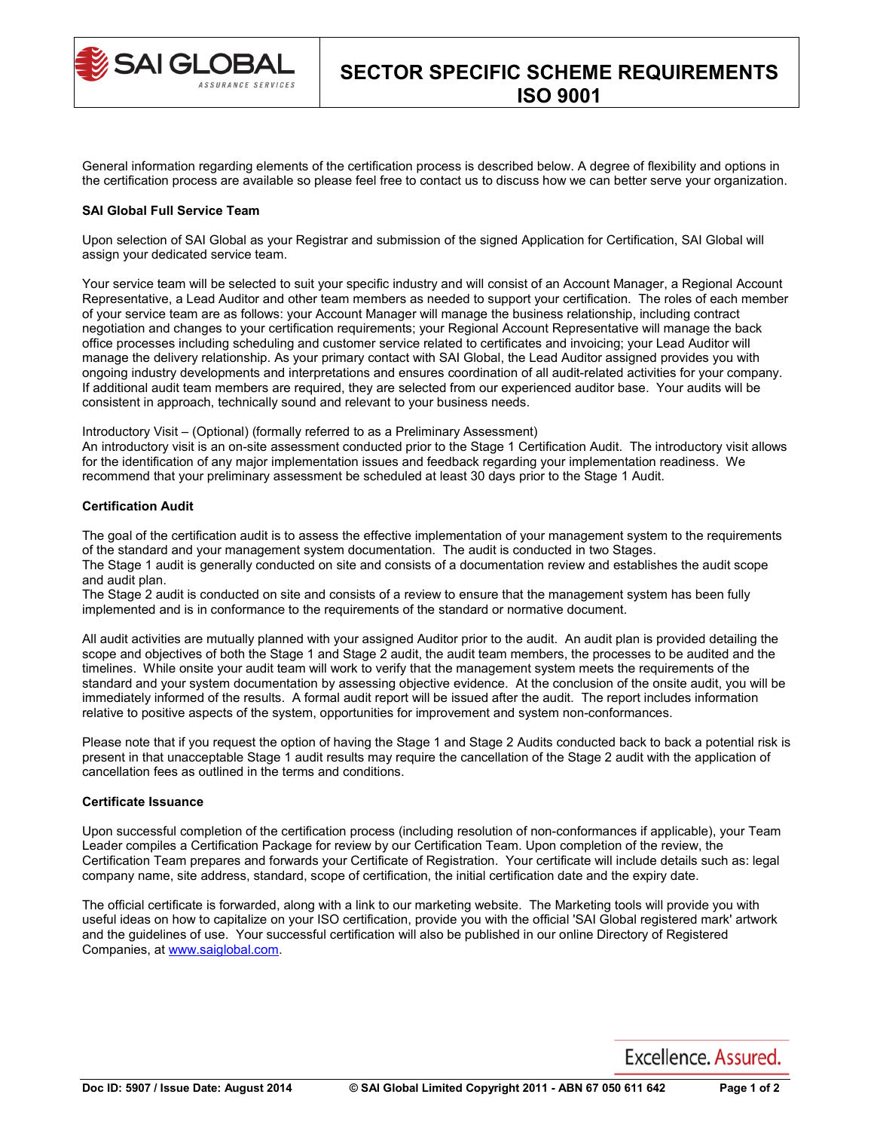

General information regarding elements of the certification process is described below. A degree of flexibility and options in the certification process are available so please feel free to contact us to discuss how we can better serve your organization.

### **SAI Global Full Service Team**

Upon selection of SAI Global as your Registrar and submission of the signed Application for Certification, SAI Global will assign your dedicated service team.

Your service team will be selected to suit your specific industry and will consist of an Account Manager, a Regional Account Representative, a Lead Auditor and other team members as needed to support your certification. The roles of each member of your service team are as follows: your Account Manager will manage the business relationship, including contract negotiation and changes to your certification requirements; your Regional Account Representative will manage the back office processes including scheduling and customer service related to certificates and invoicing; your Lead Auditor will manage the delivery relationship. As your primary contact with SAI Global, the Lead Auditor assigned provides you with ongoing industry developments and interpretations and ensures coordination of all audit-related activities for your company. If additional audit team members are required, they are selected from our experienced auditor base. Your audits will be consistent in approach, technically sound and relevant to your business needs.

Introductory Visit – (Optional) (formally referred to as a Preliminary Assessment)

An introductory visit is an on-site assessment conducted prior to the Stage 1 Certification Audit. The introductory visit allows for the identification of any major implementation issues and feedback regarding your implementation readiness. We recommend that your preliminary assessment be scheduled at least 30 days prior to the Stage 1 Audit.

## **Certification Audit**

The goal of the certification audit is to assess the effective implementation of your management system to the requirements of the standard and your management system documentation. The audit is conducted in two Stages. The Stage 1 audit is generally conducted on site and consists of a documentation review and establishes the audit scope and audit plan.

The Stage 2 audit is conducted on site and consists of a review to ensure that the management system has been fully implemented and is in conformance to the requirements of the standard or normative document.

All audit activities are mutually planned with your assigned Auditor prior to the audit. An audit plan is provided detailing the scope and objectives of both the Stage 1 and Stage 2 audit, the audit team members, the processes to be audited and the timelines. While onsite your audit team will work to verify that the management system meets the requirements of the standard and your system documentation by assessing objective evidence. At the conclusion of the onsite audit, you will be immediately informed of the results. A formal audit report will be issued after the audit. The report includes information relative to positive aspects of the system, opportunities for improvement and system non-conformances.

Please note that if you request the option of having the Stage 1 and Stage 2 Audits conducted back to back a potential risk is present in that unacceptable Stage 1 audit results may require the cancellation of the Stage 2 audit with the application of cancellation fees as outlined in the terms and conditions.

# **Certificate Issuance**

Upon successful completion of the certification process (including resolution of non-conformances if applicable), your Team Leader compiles a Certification Package for review by our Certification Team. Upon completion of the review, the Certification Team prepares and forwards your Certificate of Registration. Your certificate will include details such as: legal company name, site address, standard, scope of certification, the initial certification date and the expiry date.

The official certificate is forwarded, along with a link to our marketing website. The Marketing tools will provide you with useful ideas on how to capitalize on your ISO certification, provide you with the official 'SAI Global registered mark' artwork and the guidelines of use. Your successful certification will also be published in our online Directory of Registered Companies, at [www.saiglobal.com.](http://www.saiglobal.com/)

Excellence, Assured.